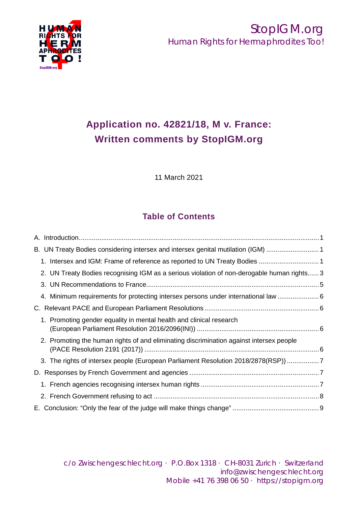

# **Application no. 42821/18, M v. France: Written comments by StopIGM.org**

11 March 2021

## **Table of Contents**

| B. UN Treaty Bodies considering intersex and intersex genital mutilation (IGM) 1           |  |
|--------------------------------------------------------------------------------------------|--|
| 1. Intersex and IGM: Frame of reference as reported to UN Treaty Bodies  1                 |  |
| 2. UN Treaty Bodies recognising IGM as a serious violation of non-derogable human rights 3 |  |
|                                                                                            |  |
| 4. Minimum requirements for protecting intersex persons under international law  6         |  |
|                                                                                            |  |
| 1. Promoting gender equality in mental health and clinical research                        |  |
| 2. Promoting the human rights of and eliminating discrimination against intersex people    |  |
| 3. The rights of intersex people (European Parliament Resolution 2018/2878(RSP)) 7         |  |
|                                                                                            |  |
|                                                                                            |  |
|                                                                                            |  |
|                                                                                            |  |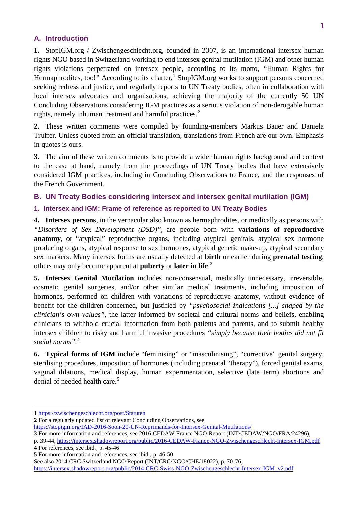## <span id="page-1-0"></span>**A. Introduction**

**1.** StopIGM.org / Zwischengeschlecht.org, founded in 2007, is an international intersex human rights NGO based in Switzerland working to end intersex genital mutilation (IGM) and other human rights violations perpetrated on intersex people, according to its motto, "Human Rights for Hermaphrodites, too!" According to its charter,<sup>[1](#page-1-3)</sup> StopIGM.org works to support persons concerned seeking redress and justice, and regularly reports to UN Treaty bodies, often in collaboration with local intersex advocates and organisations, achieving the majority of the currently 50 UN Concluding Observations considering IGM practices as a serious violation of non-derogable human rights, namely inhuman treatment and harmful practices.<sup>[2](#page-1-4)</sup>

**2.** These written comments were compiled by founding-members Markus Bauer and Daniela Truffer. Unless quoted from an official translation, translations from French are our own. Emphasis in quotes is ours.

**3.** The aim of these written comments is to provide a wider human rights background and context to the case at hand, namely from the proceedings of UN Treaty bodies that have extensively considered IGM practices, including in Concluding Observations to France, and the responses of the French Government.

## <span id="page-1-1"></span>**B. UN Treaty Bodies considering intersex and intersex genital mutilation (IGM)**

#### <span id="page-1-2"></span>**1. Intersex and IGM: Frame of reference as reported to UN Treaty Bodies**

**4. Intersex persons**, in the vernacular also known as hermaphrodites, or medically as persons with *"Disorders of Sex Development (DSD)"*, are people born with **variations of reproductive anatomy**, or "atypical" reproductive organs, including atypical genitals, atypical sex hormone producing organs, atypical response to sex hormones, atypical genetic make-up, atypical secondary sex markers. Many intersex forms are usually detected at **birth** or earlier during **prenatal testing**, others may only become apparent at **puberty** or **later in life**. [3](#page-1-5)

**5. Intersex Genital Mutilation** includes non-consensual, medically unnecessary, irreversible, cosmetic genital surgeries, and/or other similar medical treatments, including imposition of hormones, performed on children with variations of reproductive anatomy, without evidence of benefit for the children concerned, but justified by *"psychosocial indications [...] shaped by the clinician's own values"*, the latter informed by societal and cultural norms and beliefs, enabling clinicians to withhold crucial information from both patients and parents, and to submit healthy intersex children to risky and harmful invasive procedures *"simply because their bodies did not fit social norms".*[4](#page-1-6)

**6. Typical forms of IGM** include "feminising" or "masculinising", "corrective" genital surgery, sterilising procedures, imposition of hormones (including prenatal "therapy"), forced genital exams, vaginal dilations, medical display, human experimentation, selective (late term) abortions and denial of needed health care.<sup>[5](#page-1-7)</sup>

**.** 

<span id="page-1-4"></span>**2** For a regularly updated list of relevant Concluding Observations, see

<span id="page-1-5"></span>**3** For more information and references, see 2016 CEDAW France NGO Report (INT/CEDAW/NGO/FRA/24296),

<span id="page-1-3"></span>**<sup>1</sup>** <https://zwischengeschlecht.org/post/Statuten>

<https://stopigm.org/IAD-2016-Soon-20-UN-Reprimands-for-Intersex-Genital-Mutilations/>

<span id="page-1-6"></span>p. 39-44,<https://intersex.shadowreport.org/public/2016-CEDAW-France-NGO-Zwischengeschlecht-Intersex-IGM.pdf> **4** For references, see ibid., p. 45-46

<span id="page-1-7"></span>**<sup>5</sup>** For more information and references, see ibid., p. 46-50

See also 2014 CRC Switzerland NGO Report (INT/CRC/NGO/CHE/18022), p. 70-76,

[https://intersex.shadowreport.org/public/2014-CRC-Swiss-NGO-Zwischengeschlecht-Intersex-IGM\\_v2.pdf](https://intersex.shadowreport.org/public/2014-CRC-Swiss-NGO-Zwischengeschlecht-Intersex-IGM_v2.pdf)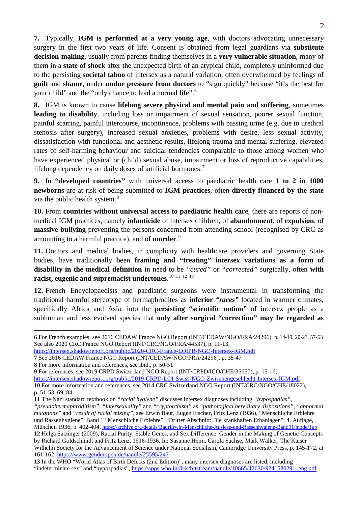**7.** Typically, **IGM is performed at a very young age**, with doctors advocating unnecessary surgery in the first two years of life. Consent is obtained from legal guardians via **substitute decision-making**, usually from parents finding themselves in a **very vulnerable situation**, many of them in a **state of shock** after the unexpected birth of an atypical child, completely uninformed due to the persisting **societal taboo** of intersex as a natural variation, often overwhelmed by feelings of **guilt** and **shame**, under **undue pressure from doctors** to "sign quickly" because "it's the best for your child" and the "only chance to lead a normal life".[6](#page-2-0)

**8.** IGM is known to cause **lifelong severe physical and mental pain and suffering**, sometimes **leading to disability**, including loss or impairment of sexual sensation, poorer sexual function, painful scarring, painful intercourse, incontinence, problems with passing urine (e.g. due to urethral stenosis after surgery), increased sexual anxieties, problems with desire, less sexual activity, dissatisfaction with functional and aesthetic results, lifelong trauma and mental suffering, elevated rates of self-harming behaviour and suicidal tendencies comparable to those among women who have experienced physical or (child) sexual abuse, impairment or loss of reproductive capabilities, lifelong dependency on daily doses of artificial hormones.<sup>[7](#page-2-1)</sup>

**9.** In **"developed countries"** with universal access to paediatric health care **1 to 2 in 1000 newborns** are at risk of being submitted to **IGM practices**, often **directly financed by the state** via the public health system.<sup>[8](#page-2-2)</sup>

**10.** From **countries without universal access to paediatric health care**, there are reports of nonmedical IGM practices, namely **infanticide** of intersex children, of **abandonment**, of **expulsion**, of **massive bullying** preventing the persons concerned from attending school (recognised by CRC as amounting to a harmful practice), and of **murder**. [9](#page-2-3)

**11.** Doctors and medical bodies, in complicity with healthcare providers and governing State bodies, have traditionally been **framing and "treating" intersex variations as a form of disability in the medical definition** in need to be *"cured"* or *"corrected"* surgically, often **with racist, eugenic and supremacist undertones**. [10](#page-2-4) [11](#page-2-5) [12](#page-2-6) [13](#page-2-7)

**12.** French Encyclopaedists and paediatric surgeons were instrumental in transforming the traditional harmful stereotype of hermaphrodites as **inferior** *"races"* located in warmer climates, specifically Africa and Asia, into the **persisting "scientific notion"** of intersex people as a subhuman and less evolved species that **only after surgical "correction" may be regarded as** 

<https://intersex.shadowreport.org/public/2020-CRC-France-LOIPR-NGO-Intersex-IGM.pdf>

1

<span id="page-2-0"></span>**<sup>6</sup>** For French examples, see 2016 CEDAW France NGO Report (INT/CEDAW/NGO/FRA/24296), p. 14-19, 20-23, 57-63 See also 2020 CRC France NGO Report (INT/CRC/NGO/FRA/44537), p. 11-13,

<span id="page-2-1"></span>**<sup>7</sup>** See 2016 CEDAW France NGO Report (INT/CEDAW/NGO/FRA/24296), p. 38-47

<span id="page-2-2"></span>**<sup>8</sup>** For more information and references, see ibid., p. 50-51

<span id="page-2-3"></span>**<sup>9</sup>** For references, see 2019 CRPD Switzerland NGO Report (INT/CRPD/ICO/CHE/35657), p. 15-16,

<span id="page-2-4"></span><https://intersex.shadowreport.org/public/2019-CRPD-LOI-Swiss-NGO-Zwischengeschlecht-Intersex-IGM.pdf> **10** For more information and references, see 2014 CRC Switzerland NGO Report (INT/CRC/NGO/CHE/18022), p. 51-53, 69, 84

<span id="page-2-5"></span>**<sup>11</sup>** The Nazi standard textbook on *"racial hygiene"* discusses intersex diagnoses including *"hypospadias"*,

*<sup>&</sup>quot;pseudohermaphroditism"*, *"intersexuality"* and *"cryptorchism"* as *"pathological hereditary dispositions"*, *"abnormal mutations"* and *"result of racial mixing"*, see Erwin Baur, Eugen Fischer, Fritz Lenz (1936), "Menschliche Erblehre und Rassenhygiene", Band 1 "Menschliche Erblehre", "Dritter Abschnitt: Die krankhaften Erbanlagen", 4. Auflage, München 1936, p. 402-404,<https://archive.org/details/BaurErwin-Menschliche-Auslese-und-Rassenhygiene-Band01/mode/1up> **12** Helga Satzinger (2009), Racial Purity, Stable Genes, and Sex Difference. Gender in the Making of Genetic Concepts by Richard Goldschmidt and Fritz Lenz, 1916-1936. In: Susanne Heim, Carola Sachse, Mark Walker, The Kaiser Wilhelm Society for the Advancement of Science under National Socialism, Cambridge University Press, p. 145-172, at 161-162,<https://www.genderopen.de/handle/25595/247>

<span id="page-2-7"></span><span id="page-2-6"></span>**<sup>13</sup>** In the WHO "World Atlas of Birth Defects (2nd Edition)", many intersex diagnoses are listed, including "indeterminate sex" and "hypospadias", https://apps.who.int/iris/bitstream/handle/10665/42630/9241580291\_eng.pdf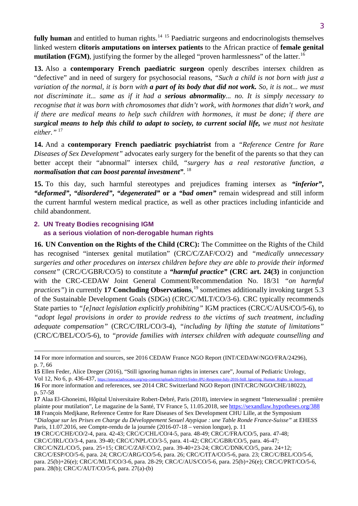fully human and entitled to human rights.<sup>[14](#page-3-1) [15](#page-3-2)</sup> Paediatric surgeons and endocrinologists themselves linked western **clitoris amputations on intersex patients** to the African practice of **female genital mutilation (FGM)**, justifying the former by the alleged "proven harmlessness" of the latter.<sup>[16](#page-3-3)</sup>

**13.** Also a **contemporary French paediatric surgeon** openly describes intersex children as "defective" and in need of surgery for psychosocial reasons, *"Such a child is not born with just a variation of the normal, it is born with a part of its body that did not work. So, it is not... we must not discriminate it... same as if it had a serious abnormality... no. It is simply necessary to recognise that it was born with chromosomes that didn't work, with hormones that didn't work, and if there are medical means to help such children with hormones, it must be done; if there are surgical means to help this child to adapt to society, to current social life, we must not hesitate either."* [17](#page-3-4)

**14.** And a **contemporary French paediatric psychiatrist** from a *"Reference Centre for Rare Diseases of Sex Development"* advocates early surgery for the benefit of the parents so that they can better accept their "abnormal" intersex child, *"surgery has a real restorative function, a normalisation that can boost parental investment"*. [18](#page-3-5)

**15.** To this day, such harmful stereotypes and prejudices framing intersex as *"inferior"***,**  *"deformed"***,** *"disordered"***,** *"degenerated"* **or a** *"bad omen"* remain widespread and still inform the current harmful western medical practice, as well as other practices including infanticide and child abandonment.

#### <span id="page-3-0"></span>**2. UN Treaty Bodies recognising IGM as a serious violation of non-derogable human rights**

**.** 

**16. UN Convention on the Rights of the Child (CRC):** The Committee on the Rights of the Child has recognised "intersex genital mutilation" (CRC/C/ZAF/CO/2) and *"medically unnecessary surgeries and other procedures on intersex children before they are able to provide their informed consent"* (CRC/C/GBR/CO/5) to constitute a *"harmful practice"* **(CRC art. 24(3)** in conjunction with the CRC-CEDAW Joint General Comment/Recommendation No. 18/31 *"on harmful practices"*) in currently **17 Concluding Observations**, [19](#page-3-6) sometimes additionally invoking target 5.3 of the Sustainable Development Goals (SDGs) (CRC/C/MLT/CO/3-6). CRC typically recommends State parties to *"[e]nact legislation explicitly prohibiting"* IGM practices (CRC/C/AUS/CO/5-6), to *"adopt legal provisions in order to provide redress to the victims of such treatment, including adequate compensation"* (CRC/C/IRL/CO/3-4), *"including by lifting the statute of limitations"* (CRC/C/BEL/CO/5-6), to *"provide families with intersex children with adequate counselling and* 

<span id="page-3-6"></span>**19** CRC/C/CHE/CO/2-4, para. 42-43; CRC/C/CHL/CO/4-5, para. 48-49; CRC/C/FRA/CO/5, para. 47-48;

CRC/C/IRL/CO/3-4, para. 39-40; CRC/C/NPL/CO/3-5, para. 41-42; CRC/C/GBR/CO/5, para. 46-47;

<span id="page-3-1"></span>**<sup>14</sup>** For more information and sources, see 2016 CEDAW France NGO Report (INT/CEDAW/NGO/FRA/24296), p. 7, 66

<span id="page-3-2"></span>**<sup>15</sup>** Ellen Feder, Alice Dreger (2016), "Still ignoring human rights in intersex care", Journal of Pediatric Urology,

<span id="page-3-3"></span>Vol 12, No 6, p. 436-437, [https://interactadvocates.org/wp-content/uploads/2016/01/Feder-JPU-Response-July-2016-Still\\_Ignoring\\_Human\\_Rights\\_in\\_Intersex.pdf](https://interactadvocates.org/wp-content/uploads/2016/01/Feder-JPU-Response-July-2016-Still_Ignoring_Human_Rights_in_Intersex.pdf) **16** For more information and references, see 2014 CRC Switzerland NGO Report (INT/CRC/NGO/CHE/18022), p. 57-58

<span id="page-3-4"></span>**<sup>17</sup>** Alaa El-Ghoneimi, Hôpital Universitaire Robert-Debré, Paris (2018), interview in segment "Intersexualité : première plainte pour mutilation", Le magazine de la Santé, TV France 5, 11.05.2018, see<https://sexandlaw.hypotheses.org/388> **18** François Medjkane, Reference Centre for Rare Diseases of Sex Development CHU Lille, at the Symposium

<span id="page-3-5"></span>*<sup>&</sup>quot;Dialogue sur les Prises en Charge du Développement Sexuel Atypique : une Table Ronde France-Suisse"* at EHESS Paris, 11.07.2016, see Compte-rendu de la journée (2016-07-18 – version longue), p. 11

CRC/C/NZL/CO/5, para. 25+15; CRC/C/ZAF/CO/2, para. 39-40+23-24; CRC/C/DNK/CO/5, para. 24+12; CRC/C/ESP/CO/5-6, para. 24; CRC/C/ARG/CO/5-6, para. 26; CRC/C/ITA/CO/5-6, para. 23; CRC/C/BEL/CO/5-6, para. 25(b)+26(e); CRC/C/MLT/CO/3-6, para. 28-29; CRC/C/AUS/CO/5-6, para. 25(b)+26(e); CRC/C/PRT/CO/5-6, para. 28(b); CRC/C/AUT/CO/5-6, para. 27(a)-(b)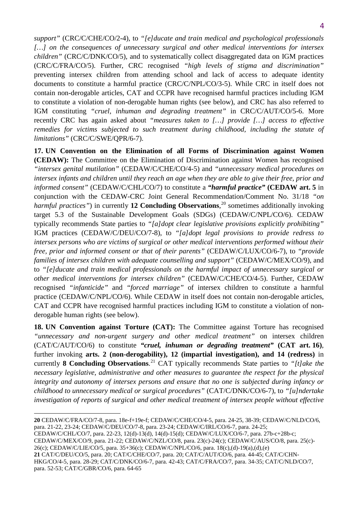*support"* (CRC/C/CHE/CO/2-4), to *"[e]ducate and train medical and psychological professionals […] on the consequences of unnecessary surgical and other medical interventions for intersex children"* (CRC/C/DNK/CO/5), and to systematically collect disaggregated data on IGM practices (CRC/C/FRA/CO/5). Further, CRC recognised *"high levels of stigma and discrimination"* preventing intersex children from attending school and lack of access to adequate identity documents to constitute a harmful practice (CRC/C/NPL/CO/3-5). While CRC in itself does not contain non-derogable articles, CAT and CCPR have recognised harmful practices including IGM to constitute a violation of non-derogable human rights (see below), and CRC has also referred to IGM constituting *"cruel, inhuman and degrading treatment"* in CRC/C/AUT/CO/5-6. More recently CRC has again asked about *"measures taken to […] provide […] access to effective remedies for victims subjected to such treatment during childhood, including the statute of limitations"* (CRC/C/SWE/QPR/6-7).

**17. UN Convention on the Elimination of all Forms of Discrimination against Women (CEDAW):** The Committee on the Elimination of Discrimination against Women has recognised *"intersex genital mutilation"* (CEDAW/C/CHE/CO/4-5) and *"unnecessary medical procedures on intersex infants and children until they reach an age when they are able to give their free, prior and informed consent"* (CEDAW/C/CHL/CO/7) to constitute a *"harmful practice"* **(CEDAW art. 5** in conjunction with the CEDAW-CRC Joint General Recommendation/Comment No. 31/18 *"on*  harmful practices") in currently 12 Concluding Observations,<sup>[20](#page-4-0)</sup> sometimes additionally invoking target 5.3 of the Sustainable Development Goals (SDGs) (CEDAW/C/NPL/CO/6). CEDAW typically recommends State parties to *"[a]dopt clear legislative provisions explicitly prohibiting"*  IGM practices (CEDAW/C/DEU/CO/7-8), to *"[a]dopt legal provisions to provide redress to intersex persons who are victims of surgical or other medical interventions performed without their free, prior and informed consent or that of their parents"* (CEDAW/C/LUX/CO/6-7), to *"provide families of intersex children with adequate counselling and support"* (CEDAW/C/MEX/CO/9), and to *"[e]ducate and train medical professionals on the harmful impact of unnecessary surgical or other medical interventions for intersex children"* (CEDAW/C/CHE/CO/4-5). Further, CEDAW recognised *"infanticide"* and *"forced marriage"* of intersex children to constitute a harmful practice (CEDAW/C/NPL/CO/6). While CEDAW in itself does not contain non-derogable articles, CAT and CCPR have recognised harmful practices including IGM to constitute a violation of nonderogable human rights (see below).

**18. UN Convention against Torture (CAT):** The Committee against Torture has recognised *"unnecessary and non-urgent surgery and other medical treatment"* on intersex children (CAT/C/AUT/CO/6) to constitute *"cruel, inhuman or degrading treatment"* **(CAT art. 16)**, further invoking **arts. 2 (non-derogability), 12 (impartial investigation), and 14 (redress)** in currently **8 Concluding Observations**. [21](#page-4-1) CAT typically recommends State parties to *"[t]ake the necessary legislative, administrative and other measures to guarantee the respect for the physical integrity and autonomy of intersex persons and ensure that no one is subjected during infancy or childhood to unnecessary medical or surgical procedures"* (CAT/C/DNK/CO/6-7), to *"[u]ndertake investigation of reports of surgical and other medical treatment of intersex people without effective* 

<span id="page-4-0"></span>**20** CEDAW/C/FRA/CO/7-8, para. 18e-f+19e-f; CEDAW/C/CHE/CO/4-5, para. 24-25, 38-39; CEDAW/C/NLD/CO/6, para. 21-22, 23-24; CEDAW/C/DEU/CO/7-8, para. 23-24; CEDAW/C/IRL/CO/6-7, para. 24-25;

CEDAW/C/CHL/CO/7, para. 22-23, 12(d)-13(d), 14(d)-15(d); CEDAW/C/LUX/CO/6-7, para. 27b-c+28b-c;

CEDAW/C/MEX/CO/9, para. 21-22; CEDAW/C/NZL/CO/8, para. 23(c)-24(c); CEDAW/C/AUS/CO/8, para. 25(c)-

26(c); CEDAW/C/LIE/CO/5, para. 35+36(c); CEDAW/C/NPL/CO/6, para. 18(c),(d)-19(a),(d),(e)

 $\overline{a}$ 

<span id="page-4-1"></span>**21** CAT/C/DEU/CO/5, para. 20; CAT/C/CHE/CO/7, para. 20; CAT/C/AUT/CO/6, para. 44-45; CAT/C/CHN-HKG/CO/4-5, para. 28-29; CAT/C/DNK/CO/6-7, para. 42-43; CAT/C/FRA/CO/7, para. 34-35; CAT/C/NLD/CO/7, para. 52-53; CAT/C/GBR/CO/6, para. 64-65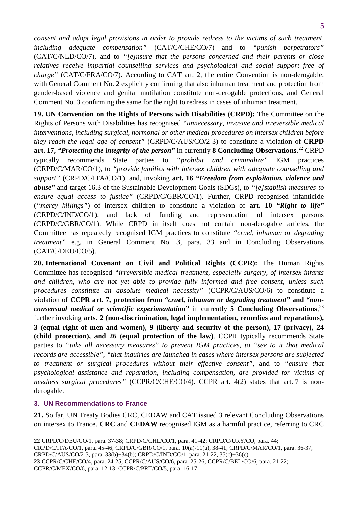5

*consent and adopt legal provisions in order to provide redress to the victims of such treatment, including adequate compensation"* (CAT/C/CHE/CO/7) and to *"punish perpetrators"*  (CAT/C/NLD/CO/7), and to *"[e]nsure that the persons concerned and their parents or close relatives receive impartial counselling services and psychological and social support free of charge"* (CAT/C/FRA/CO/7). According to CAT art. 2, the entire Convention is non-derogable, with General Comment No. 2 explicitly confirming that also inhuman treatment and protection from gender-based violence and genital mutilation constitute non-derogable protections, and General Comment No. 3 confirming the same for the right to redress in cases of inhuman treatment.

**19. UN Convention on the Rights of Persons with Disabilities (CRPD):** The Committee on the Rights of Persons with Disabilities has recognised *"unnecessary, invasive and irreversible medical interventions, including surgical, hormonal or other medical procedures on intersex children before they reach the legal age of consent"* (CRPD/C/AUS/CO/2-3) to constitute a violation of **CRPD art. 17,** *"Protecting the integrity of the person"* in currently **8 Concluding Observations**. [22](#page-5-1) CRPD typically recommends State parties to *"prohibit and criminalize"* IGM practices (CRPD/C/MAR/CO/1), to *"provide families with intersex children with adequate counselling and support"* (CRPD/C/ITA/CO/1), and, invoking **art. 16** *"Freedom from exploitation, violence and abuse"* and target 16.3 of the Sustainable Development Goals (SDGs), to *"[e]stablish measures to ensure equal access to justice"* (CRPD/C/GBR/CO/1)*.* Further, CRPD recognised infanticide (*"mercy killings"*) of intersex children to constitute a violation of **art. 10** *"Right to life"* (CRPD/C/IND/CO/1), and lack of funding and representation of intersex persons (CRPD/C/GBR/CO/1). While CRPD in itself does not contain non-derogable articles, the Committee has repeatedly recognised IGM practices to constitute *"cruel, inhuman or degrading treatment*" e.g. in General Comment No. 3, para. 33 and in Concluding Observations (CAT/C/DEU/CO/5).

**20. International Covenant on Civil and Political Rights (CCPR):** The Human Rights Committee has recognised *"irreversible medical treatment, especially surgery, of intersex infants and children, who are not yet able to provide fully informed and free consent, unless such procedures constitute an absolute medical necessity"* (CCPR/C/AUS/CO/6) to constitute a violation of **CCPR art. 7, protection from** *"cruel, inhuman or degrading treatment"* **and** *"nonconsensual medical or scientific experimentation"* in currently **5 Concluding Observations**, [23](#page-5-2) further invoking **arts. 2 (non-discrimination, legal implementation, remedies and reparations), 3 (equal right of men and women), 9 (liberty and security of the person), 17 (privacy), 24 (child protection), and 26 (equal protection of the law)**. CCPR typically recommends State parties to *"take all necessary measures" to prevent IGM practices, to "see to it that medical records are accessible"*, *"that inquiries are launched in cases where intersex persons are subjected to treatment or surgical procedures without their effective consent"*, and to *"ensure that psychological assistance and reparation, including compensation, are provided for victims of needless surgical procedures"* (CCPR/C/CHE/CO/4). CCPR art. 4(2) states that art. 7 is nonderogable.

## <span id="page-5-0"></span>**3. UN Recommendations to France**

**21.** So far, UN Treaty Bodies CRC, CEDAW and CAT issued 3 relevant Concluding Observations on intersex to France. **CRC** and **CEDAW** recognised IGM as a harmful practice, referring to CRC

CRPD/C/AUS/CO/2-3, para. 33(b)+34(b); CRPD/C/IND/CO/1, para. 21-22, 35(c)+36(c)

CCPR/C/MEX/CO/6, para. 12-13; CCPR/C/PRT/CO/5, para. 16-17

 $\overline{a}$ **22** CRPD/C/DEU/CO/1, para. 37-38; CRPD/C/CHL/CO/1, para. 41-42; CRPD/C/URY/CO, para. 44;

<span id="page-5-1"></span>CRPD/C/ITA/CO/1, para. 45-46; CRPD/C/GBR/CO/1, para. 10(a)-11(a), 38-41; CRPD/C/MAR/CO/1, para. 36-37;

<span id="page-5-2"></span>**<sup>23</sup>** CCPR/C/CHE/CO/4, para. 24-25; CCPR/C/AUS/CO/6, para. 25-26; CCPR/C/BEL/CO/6, para. 21-22;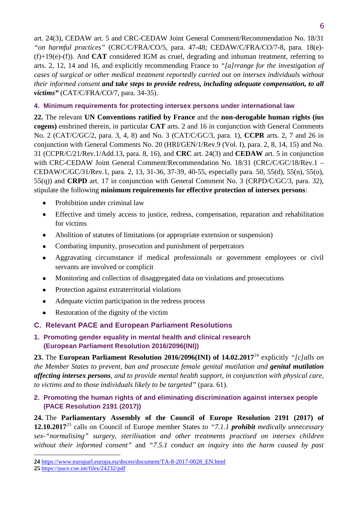art. 24(3), CEDAW art. 5 and CRC-CEDAW Joint General Comment/Recommendation No. 18/31 *"on harmful practices"* (CRC/C/FRA/CO/5, para. 47-48; CEDAW/C/FRA/CO/7-8, para. 18(e)- (f)+19(e)-(f)). And **CAT** considered IGM as cruel, degrading and inhuman treatment, referring to arts. 2, 12, 14 and 16, and explicitly recommending France to *"[a]rrange for the investigation of cases of surgical or other medical treatment reportedly carried out on intersex individuals without their informed consent and take steps to provide redress, including adequate compensation, to all victims"* (CAT/C/FRA/CO/7, para. 34-35).

## <span id="page-6-0"></span>**4. Minimum requirements for protecting intersex persons under international law**

**22.** The relevant **UN Conventions ratified by France** and the **non-derogable human rights (ius cogens)** enshrined therein, in particular **CAT** arts. 2 and 16 in conjunction with General Comments No. 2 (CAT/C/GC/2, para. 3, 4, 8) and No. 3 (CAT/C/GC/3, para. 1), **CCPR** arts. 2, 7 and 26 in conjunction with General Comments No. 20 (HRI/GEN/1/Rev.9 (Vol. I), para. 2, 8, 14, 15) and No. 31 (CCPR/C/21/Rev.1/Add.13, para. 8, 16), and **CRC** art. 24(3) and **CEDAW** art. 5 in conjunction with CRC-CEDAW Joint General Comment/Recommendation No. 18/31 (CRC/C/GC/18/Rev.1 – CEDAW/C/GC/31/Rev.1, para. 2, 13, 31-36, 37-39, 40-55, especially para. 50, 55(d), 55(n), 55(o), 55(q)) and **CRPD** art. 17 in conjunction with General Comment No. 3 (CRPD/C/GC/3, para. 32), stipulate the following **minimum requirements for effective protection of intersex persons**:

- Prohibition under criminal law
- Effective and timely access to justice, redress, compensation, reparation and rehabilitation for victims
- Abolition of statutes of limitations (or appropriate extension or suspension)
- Combating impunity, prosecution and punishment of perpetrators
- Aggravating circumstance if medical professionals or government employees or civil servants are involved or complicit
- Monitoring and collection of disaggregated data on violations and prosecutions
- Protection against extraterritorial violations
- Adequate victim participation in the redress process
- Restoration of the dignity of the victim

## <span id="page-6-1"></span>**C. Relevant PACE and European Parliament Resolutions**

<span id="page-6-2"></span>**1. Promoting gender equality in mental health and clinical research (European Parliament Resolution 2016/2096(INI))**

**23.** The **European Parliament Resolution 2016/2096(INI) of 14.02.2017**[24](#page-6-4) explicitly *"[c]alls on the Member States to prevent, ban and prosecute female genital mutilation and genital mutilation affecting intersex persons, and to provide mental health support, in conjunction with physical care, to victims and to those individuals likely to be targeted"* (para. 61).

## <span id="page-6-3"></span>**2. Promoting the human rights of and eliminating discrimination against intersex people (PACE Resolution 2191 (2017))**

**24.** The **Parliamentary Assembly of the Council of Europe Resolution 2191 (2017) of 12.10.2017**[25](#page-6-5) calls on Council of Europe member States to *"7.1.1 prohibit medically unnecessary sex-"normalising" surgery, sterilisation and other treatments practised on intersex children without their informed consent"* and *"7.5.1 conduct an inquiry into the harm caused by past* 

 $\overline{a}$ 

<span id="page-6-4"></span>**<sup>24</sup>** [https://www.europarl.europa.eu/doceo/document/TA-8-2017-0028\\_EN.html](https://www.europarl.europa.eu/doceo/document/TA-8-2017-0028_EN.html)

<span id="page-6-5"></span>**<sup>25</sup>** <https://pace.coe.int/files/24232/pdf>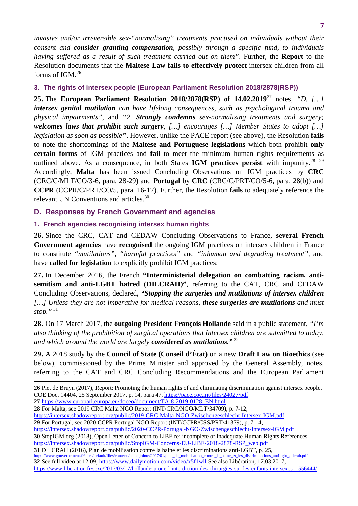*invasive and/or irreversible sex-"normalising" treatments practised on individuals without their consent and consider granting compensation, possibly through a specific fund, to individuals having suffered as a result of such treatment carried out on them"*. Further, the **Report** to the Resolution documents that the **Maltese Law fails to effectively protect** intersex children from all forms of IGM.[26](#page-7-3)

## <span id="page-7-0"></span>**3. The rights of intersex people (European Parliament Resolution 2018/2878(RSP))**

**25.** The **European Parliament Resolution 2018/2878(RSP) of 14.02.2019**[27](#page-7-4) notes, *"D. […] intersex genital mutilation can have lifelong consequences, such as psychological trauma and physical impairments"*, and *"2. Strongly condemns sex-normalising treatments and surgery; welcomes laws that prohibit such surgery, […] encourages […] Member States to adopt […] legislation as soon as possible"*. However, unlike the PACE report (see above), the Resolution **fails**  to note the shortcomings of the **Maltese and Portuguese legislations** which both prohibit **only certain forms** of IGM practices and **fail** to meet the minimum human rights requirements as outlined above. As a consequence, in both States IGM practices persist with impunity.<sup>[28](#page-7-5)</sup> <sup>[29](#page-7-6)</sup> Accordingly, **Malta** has been issued Concluding Observations on IGM practices by **CRC** (CRC/C/MLT/CO/3-6, para. 28-29) and **Portugal** by **CRC** (CRC/C/PRT/CO/5-6, para. 28(b)) and **CCPR** (CCPR/C/PRT/CO/5, para. 16-17). Further, the Resolution **fails** to adequately reference the relevant UN Conventions and articles.[30](#page-7-7)

## <span id="page-7-1"></span>**D. Responses by French Government and agencies**

## <span id="page-7-2"></span>**1. French agencies recognising intersex human rights**

**26.** Since the CRC, CAT and CEDAW Concluding Observations to France, **several French Government agencies** have **recognised** the ongoing IGM practices on intersex children in France to constitute *"mutilations"*, *"harmful practices"* and *"inhuman and degrading treatment"*, and have **called for legislation** to explicitly prohibit IGM practices:

**27.** In December 2016, the French **"Interministerial delegation on combatting racism, antisemitism and anti-LGBT hatred (DILCRAH)"**, referring to the CAT, CRC and CEDAW Concluding Observations, declared, *"Stopping the surgeries and mutilations of intersex children […] Unless they are not imperative for medical reasons, these surgeries are mutilations and must stop."* [31](#page-7-8)

**28.** On 17 March 2017, the **outgoing President François Hollande** said in a public statement, *"I'm also thinking of the prohibition of surgical operations that intersex children are submitted to today, and which around the world are largely considered as mutilations."* [32](#page-7-9)

**29.** A 2018 study by the **Council of State (Conseil d'État)** on a new **Draft Law on Bioethics** (see below), commissioned by the Prime Minister and approved by the General Assembly, notes, referring to the CAT and CRC Concluding Recommendations and the European Parliament

<span id="page-7-4"></span>**27** [https://www.europarl.europa.eu/doceo/document/TA-8-2019-0128\\_EN.html](https://www.europarl.europa.eu/doceo/document/TA-8-2019-0128_EN.html)

- <span id="page-7-5"></span>**28** For Malta, see 2019 CRC Malta NGO Report (INT/CRC/NGO/MLT/34709), p. 7-12,
- <https://intersex.shadowreport.org/public/2019-CRC-Malta-NGO-Zwischengeschlecht-Intersex-IGM.pdf> **29** For Portugal, see 2020 CCPR Portugal NGO Report (INT/CCPR/CSS/PRT/41379), p. 7-14,
- <span id="page-7-6"></span><https://intersex.shadowreport.org/public/2020-CCPR-Portugal-NGO-Zwischengeschlecht-Intersex-IGM.pdf>

<span id="page-7-7"></span>**30** StopIGM.org (2018), Open Letter of Concern to LIBE re: incomplete or inadequate Human Rights References, [https://intersex.shadowreport.org/public/StopIGM-Concerns-EU-LIBE-2018-2878-RSP\\_web.pdf](https://intersex.shadowreport.org/public/StopIGM-Concerns-EU-LIBE-2018-2878-RSP_web.pdf)

<span id="page-7-9"></span><span id="page-7-8"></span>**31** DILCRAH (2016), Plan de mobilisation contre la haine et les discriminations anti-LGBT, p. 25, [https://www.gouvernement.fr/sites/default/files/contenu/piece-jointe/2017/01/plan\\_de\\_mobilisation\\_contre\\_la\\_haine\\_et\\_les\\_discriminations\\_anti-lgbt\\_dilcrah.pdf](https://www.gouvernement.fr/sites/default/files/contenu/piece-jointe/2017/01/plan_de_mobilisation_contre_la_haine_et_les_discriminations_anti-lgbt_dilcrah.pdf) **32** See full video at 12:09[, https://www.dailymotion.com/video/x5f1wll](https://www.dailymotion.com/video/x5f1wll) See also Libération, 17.03.2017, [https://www.liberation.fr/sexe/2017/03/17/hollande-prone-l-interdiction-des-chirurgies-sur-les-enfants-intersexes\\_1556444/](https://www.liberation.fr/sexe/2017/03/17/hollande-prone-l-interdiction-des-chirurgies-sur-les-enfants-intersexes_1556444/)

<span id="page-7-3"></span> $\overline{a}$ **26** Piet de Bruyn (2017), Report: Promoting the human rights of and eliminating discrimination against intersex people, COE Doc. 14404, 25 September 2017, p. 14, para 47,<https://pace.coe.int/files/24027/pdf>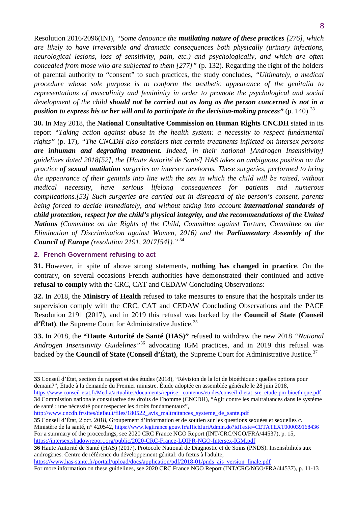Resolution 2016/2096(INI), *"Some denounce the mutilating nature of these practices [276], which are likely to have irreversible and dramatic consequences both physically (urinary infections, neurological lesions, loss of sensitivity, pain, etc.) and psychologically, and which are often concealed from those who are subjected to them [277]"* (p. 132). Regarding the right of the holders of parental authority to "consent" to such practices, the study concludes, *"Ultimately, a medical procedure whose sole purpose is to conform the aesthetic appearance of the genitalia to representations of masculinity and femininity in order to promote the psychological and social development of the child should not be carried out as long as the person concerned is not in a position to express his or her will and to participate in the decision-making process*" (p. 140).<sup>[33](#page-8-1)</sup>

**30.** In May 2018, the **National Consultative Commission on Human Rights CNCDH** stated in its report *"Taking action against abuse in the health system: a necessity to respect fundamental rights"* (p. 17), *"The CNCDH also considers that certain treatments inflicted on intersex persons are inhuman and degrading treatment. Indeed, in their national [Androgen Insensitivity] guidelines dated 2018[52], the [Haute Autorité de Santé] HAS takes an ambiguous position on the practice of sexual mutilation surgeries on intersex newborns. These surgeries, performed to bring the appearance of their genitals into line with the sex in which the child will be raised, without medical necessity, have serious lifelong consequences for patients and numerous complications.[53] Such surgeries are carried out in disregard of the person's consent, parents being forced to decide immediately, and without taking into account international standards of child protection, respect for the child's physical integrity, and the recommendations of the United Nations (Committee on the Rights of the Child, Committee against Torture, Committee on the Elimination of Discrimination against Women, 2016) and the Parliamentary Assembly of the Council of Europe (resolution 2191, 2017[54])."* [34](#page-8-2)

## <span id="page-8-0"></span>**2. French Government refusing to act**

**.** 

**31.** However, in spite of above strong statements, **nothing has changed in practice**. On the contrary, on several occasions French authorities have demonstrated their continued and active **refusal to comply** with the CRC, CAT and CEDAW Concluding Observations:

**32.** In 2018, the **Ministry of Health** refused to take measures to ensure that the hospitals under its supervision comply with the CRC, CAT and CEDAW Concluding Observations and the PACE Resolution 2191 (2017), and in 2019 this refusal was backed by the **Council of State (Conseil**  d'État), the Supreme Court for Administrative Justice.<sup>[35](#page-8-3)</sup>

**33.** In 2018, the **"Haute Autorité de Santé (HAS)"** refused to withdraw the new 2018 *"National Androgen Insensitivity Guidelines"*[36](#page-8-4) advocating IGM practices, and in 2019 this refusal was backed by the **Council of State (Conseil d'État)**, the Supreme Court for Administrative Justice. [37](#page-8-5)

http://www.cncdh.fr/sites/default/files/180522 avis maltraitances systeme de sante.pdf

<span id="page-8-1"></span>**<sup>33</sup>** Conseil d'État, section du rapport et des études (2018), "Révision de la loi de bioéthique : quelles options pour demain?", Étude à la demande du Premier ministre. Étude adoptée en assemblée générale le 28 juin 2018, [https://www.conseil-etat.fr/Media/actualites/documents/reprise-\\_contenus/etudes/conseil-d-etat\\_sre\\_etude-pm-bioethique.pdf](https://www.conseil-etat.fr/Media/actualites/documents/reprise-_contenus/etudes/conseil-d-etat_sre_etude-pm-bioethique.pdf)

<span id="page-8-5"></span><span id="page-8-2"></span>**<sup>34</sup>** Commission nationale consultative des droits de l'homme (CNCDH), "Agir contre les maltraitances dans le système de santé : une nécessité pour respecter les droits fondamentaux",

<span id="page-8-3"></span>**<sup>35</sup>** Conseil d'État, 2 oct. 2018, Groupement d'information et de soutien sur les questions sexuées et sexuelles c. Ministère de la santé, n° 420542,<https://www.legifrance.gouv.fr/affichJuriAdmin.do?idTexte=CETATEXT000039168436> For a summary of the proceedings, see 2020 CRC France NGO Report (INT/CRC/NGO/FRA/44537), p. 15, <https://intersex.shadowreport.org/public/2020-CRC-France-LOIPR-NGO-Intersex-IGM.pdf>

<span id="page-8-4"></span>**<sup>36</sup>** Haute Autorité de Santé (HAS) (2017), Protocole National de Diagnostic et de Soins (PNDS). Insensibilités aux androgènes. Centre de référence du développement génital: du fœtus à l'adulte,

[https://www.has-sante.fr/portail/upload/docs/application/pdf/2018-01/pnds\\_ais\\_version\\_finale.pdf](https://www.has-sante.fr/portail/upload/docs/application/pdf/2018-01/pnds_ais_version_finale.pdf) 

For more information on these guidelines, see 2020 CRC France NGO Report (INT/CRC/NGO/FRA/44537), p. 11-13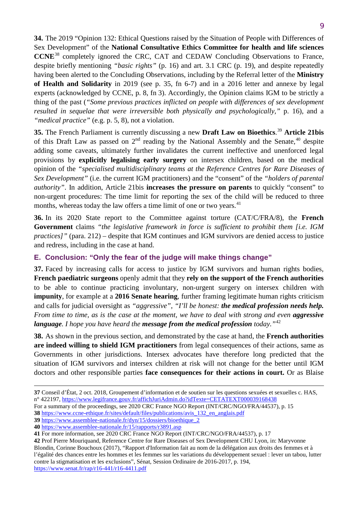9

**34.** The 2019 "Opinion 132: Ethical Questions raised by the Situation of People with Differences of Sex Development" of the **National Consultative Ethics Committee for health and life sciences CCNE**[38](#page-9-1) completely ignored the CRC, CAT and CEDAW Concluding Observations to France, despite briefly mentioning *"basic rights"* (p. 16) and art. 3.1 CRC (p. 19), and despite repeatedly having been alerted to the Concluding Observations, including by the Referral letter of the **Ministry of Health and Solidarity** in 2019 (see p. 35, fn 6-7) and in a 2016 letter and annexe by legal experts (acknowledged by CCNE, p. 8, fn 3). Accordingly, the Opinion claims IGM to be strictly a thing of the past (*"Some previous practices inflicted on people with differences of sex development resulted in sequelae that were irreversible both physically and psychologically,"* p. 16), and a *"medical practice"* (e.g. p. 5, 8), not a violation.

**35.** The French Parliament is currently discussing a new **Draft Law on Bioethics**. [39](#page-9-2) **Article 21bis** of this Draft Law as passed on  $2<sup>nd</sup>$  reading by the National Assembly and the Senate,<sup>40</sup> despite adding some caveats, ultimately further invalidates the current ineffective and unenforced legal provisions by **explicitly legalising early surgery** on intersex children, based on the medical opinion of the *"specialised multidisciplinary teams at the Reference Centres for Rare Diseases of Sex Development"* (i.e. the current IGM practitioners) and the "consent" of the *"holders of parental authority"*. In addition, Article 21bis **increases the pressure on parents** to quickly "consent" to non-urgent procedures: The time limit for reporting the sex of the child will be reduced to three months, whereas today the law offers a time limit of one or two years.<sup>[41](#page-9-4)</sup>

**36.** In its 2020 State report to the Committee against torture (CAT/C/FRA/8), the **French Government** claims *"the legislative framework in force is sufficient to prohibit them [i.e. IGM practices]"* (para. 212) – despite that IGM continues and IGM survivors are denied access to justice and redress, including in the case at hand.

## <span id="page-9-0"></span>**E. Conclusion: "Only the fear of the judge will make things change"**

**37.** Faced by increasing calls for access to justice by IGM survivors and human rights bodies, **French paediatric surgeons** openly admit that they **rely on the support of the French authorities** to be able to continue practicing involuntary, non-urgent surgery on intersex children with **impunity**, for example at a **2016 Senate hearing**, further framing legitimate human rights criticism and calls for judicial oversight as *"aggressive"*, *"I'll be honest: the medical profession needs help. From time to time, as is the case at the moment, we have to deal with strong and even <i>agg[re](#page-9-5)ssive language. I hope you have heard the message from the medical profession today."*<sup>42</sup>

**38.** As shown in the previous section, and demonstrated by the case at hand, the **French authorities are indeed willing to shield IGM practitioners** from legal consequences of their actions, same as Governments in other jurisdictions. Intersex advocates have therefore long predicted that the situation of IGM survivors and intersex children at risk will not change for the better until IGM doctors and other responsible parties **face consequences for their actions in court.** Or as Blaise

**.** 

**<sup>37</sup>** Conseil d'État, 2 oct. 2018, Groupement d'information et de soutien sur les questions sexuées et sexuelles c. HAS, n° 422197,<https://www.legifrance.gouv.fr/affichJuriAdmin.do?idTexte=CETATEXT000039168438>

For a summary of the proceedings, see 2020 CRC France NGO Report (INT/CRC/NGO/FRA/44537), p. 15

<span id="page-9-1"></span>**<sup>38</sup>** https://www.ccne-ethique.fr/sites/default/files/publications/avis\_132\_en\_anglais.pdf

<span id="page-9-2"></span>**<sup>39</sup>** [https://www.assemblee-nationale.fr/dyn/15/dossiers/bioethique\\_2](https://www.assemblee-nationale.fr/dyn/15/dossiers/bioethique_2) 

<span id="page-9-3"></span>**<sup>40</sup>** <https://www.assemblee-nationale.fr/15/rapports/r3891.asp>

<span id="page-9-4"></span>**<sup>41</sup>** For more information, see 2020 CRC France NGO Report (INT/CRC/NGO/FRA/44537), p. 17

<span id="page-9-5"></span>**<sup>42</sup>** Prof Pierre Mouriquand, Reference Centre for Rare Diseases of Sex Development CHU Lyon, in: Maryvonne Blondin, Corinne Bouchoux (2017), "Rapport d'Information fait au nom de la délégation aux droits des femmes et à l'égalité des chances entre les hommes et les femmes sur les variations du développement sexuel : lever un tabou, lutter contre la stigmatisation et les exclusions", Sénat, Session Ordinaire de 2016-2017, p. 194, <https://www.senat.fr/rap/r16-441/r16-4411.pdf>